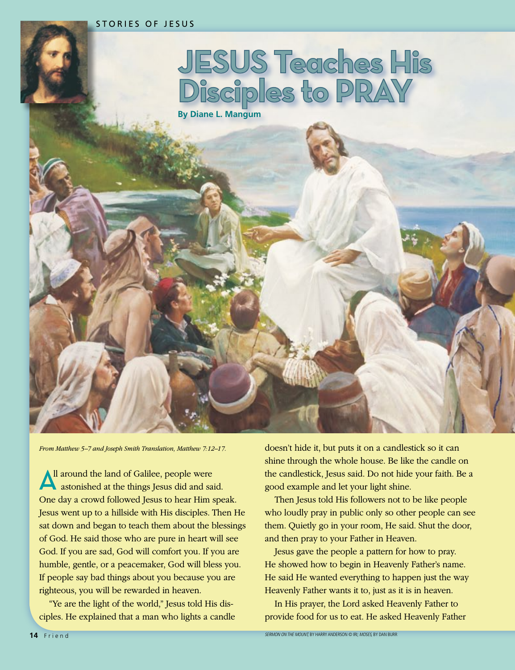

*From Matthew 5–7 and Joseph Smith Translation, Matthew 7:12–17.*

All around the land of Galilee, people were astonished at the things Jesus did and said. One day a crowd followed Jesus to hear Him speak. Jesus went up to a hillside with His disciples. Then He sat down and began to teach them about the blessings of God. He said those who are pure in heart will see God. If you are sad, God will comfort you. If you are humble, gentle, or a peacemaker, God will bless you. If people say bad things about you because you are righteous, you will be rewarded in heaven.

"Ye are the light of the world," Jesus told His disciples. He explained that a man who lights a candle doesn't hide it, but puts it on a candlestick so it can shine through the whole house. Be like the candle on the candlestick, Jesus said. Do not hide your faith. Be a good example and let your light shine.

Then Jesus told His followers not to be like people who loudly pray in public only so other people can see them. Quietly go in your room, He said. Shut the door, and then pray to your Father in Heaven.

Jesus gave the people a pattern for how to pray. He showed how to begin in Heavenly Father's name. He said He wanted everything to happen just the way Heavenly Father wants it to, just as it is in heaven.

In His prayer, the Lord asked Heavenly Father to provide food for us to eat. He asked Heavenly Father